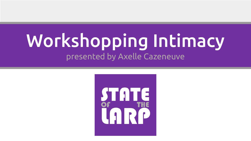# Workshopping Intimacy presented by Axelle Cazeneuve

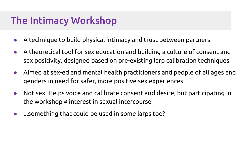#### The Intimacy Workshop

- A technique to build physical intimacy and trust between partners
- A theoretical tool for sex education and building a culture of consent and sex positivity, designed based on pre-existing larp calibration techniques
- Aimed at sex-ed and mental health practitioners and people of all ages and genders in need for safer, more positive sex experiences
- Not sex! Helps voice and calibrate consent and desire, but participating in the workshop  $\neq$  interest in sexual intercourse
- ...something that could be used in some larps too?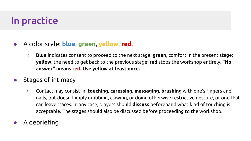## In practice

#### ● A color scale: **blue**, **green**, **yellow**, **red**.

- **Blue** indicates consent to proceed to the next stage; **green**, comfort in the present stage; **yellow**, the need to get back to the previous stage; **red** stops the workshop entirely. **"No answer" means red. Use yellow at least once.**
- Stages of intimacy
	- Contact may consist in: **touching, caressing, massaging, brushing** with one's fingers and nails, but doesn't imply grabbing, clawing, or doing otherwise restrictive gesture, or one that can leave traces. In any case, players should **discuss** beforehand what kind of touching is acceptable. The stages should also be discussed before proceeding to the workshop.
- A debriefing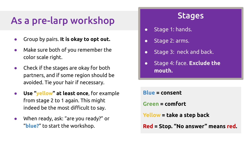#### As a pre-larp workshop

- Group by pairs. **It is okay to opt out.**
- Make sure both of you remember the color scale right.
- Check if the stages are okay for both partners, and if some region should be avoided. Tie your hair if necessary.
- **Use "yellow" at least once**, for example from stage 2 to 1 again. This might indeed be the most difficult to say.
- When ready, ask: "are you ready?" or "**blue?**" to start the workshop.

#### **Stages**

- Stage 1: hands.
- Stage 2: arms.
- Stage 3: neck and back.
- Stage 4: face. **Exclude the mouth.**

**Blue = consent Green = comfort Yellow = take a step back Red = Stop. "No answer" means red.**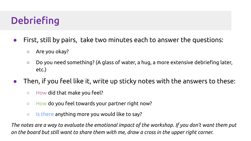## **Debriefing**

- First, still by pairs, take two minutes each to answer the questions:
	- Are you okay?
	- $\circ$  Do you need something? (A glass of water, a hug, a more extensive debriefing later, etc.)
- Then, if you feel like it, write up sticky notes with the answers to these:
	- How did that make you feel?
	- How do you feel towards your partner right now?
	- Is there anything more you would like to say?

*The notes are a way to evaluate the emotional impact of the workshop. If you don't want them put on the board but still want to share them with me, draw a cross in the upper right corner.*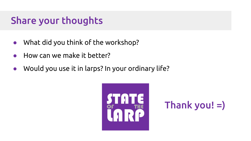#### Share your thoughts

- What did you think of the workshop?
- How can we make it better?
- Would you use it in larps? In your ordinary life?



#### Thank you! =)